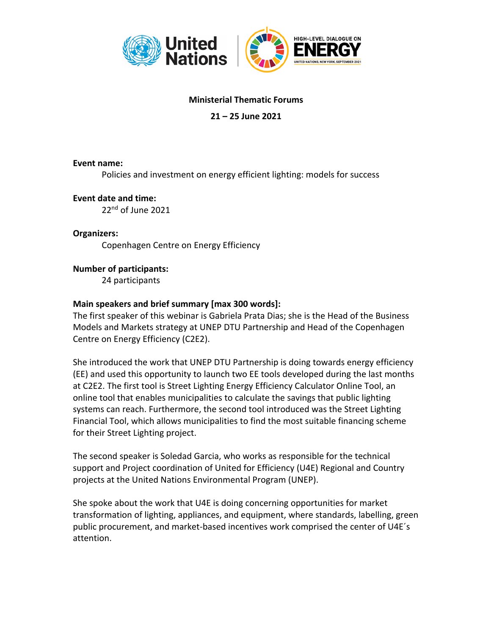

## **Ministerial Thematic Forums**

## **21 – 25 June 2021**

#### **Event name:**

Policies and investment on energy efficient lighting: models for success

#### **Event date and time:**

22<sup>nd</sup> of June 2021

## **Organizers:**

Copenhagen Centre on Energy Efficiency

### **Number of participants:**

24 participants

### **Main speakers and brief summary [max 300 words]:**

The first speaker of this webinar is Gabriela Prata Dias; she is the Head of the Business Models and Markets strategy at UNEP DTU Partnership and Head of the Copenhagen Centre on Energy Efficiency (C2E2).

She introduced the work that UNEP DTU Partnership is doing towards energy efficiency (EE) and used this opportunity to launch two EE tools developed during the last months at C2E2. The first tool is Street Lighting Energy Efficiency Calculator Online Tool, an online tool that enables municipalities to calculate the savings that public lighting systems can reach. Furthermore, the second tool introduced was the Street Lighting Financial Tool, which allows municipalities to find the most suitable financing scheme for their Street Lighting project.

The second speaker is Soledad Garcia, who works as responsible for the technical support and Project coordination of United for Efficiency (U4E) Regional and Country projects at the United Nations Environmental Program (UNEP).

She spoke about the work that U4E is doing concerning opportunities for market transformation of lighting, appliances, and equipment, where standards, labelling, green public procurement, and market-based incentives work comprised the center of U4E´s attention.